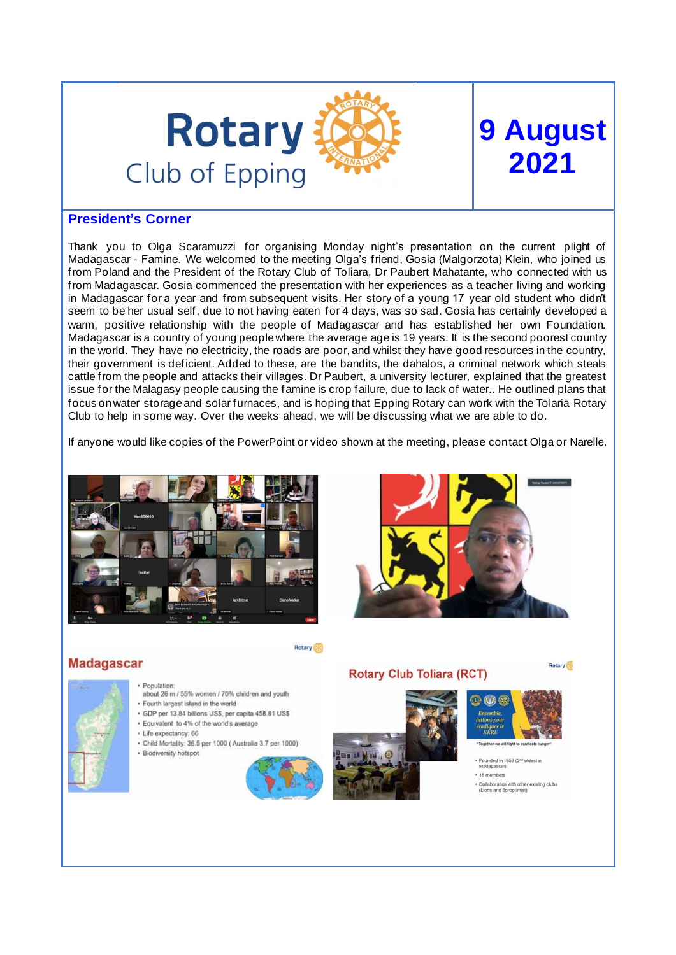

# **9 August 2021**

### **President's Corner**

Thank you to Olga Scaramuzzi for organising Monday night's presentation on the current plight of Madagascar - Famine. We welcomed to the meeting Olga's friend, Gosia (Malgorzota) Klein, who joined us from Poland and the President of the Rotary Club of Toliara, Dr Paubert Mahatante, who connected with us from Madagascar. Gosia commenced the presentation with her experiences as a teacher living and working in Madagascar for a year and from subsequent visits. Her story of a young 17 year old student who didn't seem to be her usual self, due to not having eaten for 4 days, was so sad. Gosia has certainly developed a warm, positive relationship with the people of Madagascar and has established her own Foundation. Madagascar is a country of young people where the average age is 19 years. It is the second poorest country in the world. They have no electricity, the roads are poor, and whilst they have good resources in the country, their government is deficient. Added to these, are the bandits, the dahalos, a criminal network which steals cattle from the people and attacks their villages. Dr Paubert, a university lecturer, explained that the greatest issue for the Malagasy people causing the famine is crop failure, due to lack of water.. He outlined plans that focus on water storage and solar furnaces, and is hoping that Epping Rotary can work with the Tolaria Rotary Club to help in some way. Over the weeks ahead, we will be discussing what we are able to do.

If anyone would like copies of the PowerPoint or video shown at the meeting, please contact Olga or Narelle.





### **Madagascar**



Population:

- about 26 m / 55% women / 70% children and youth
- · Fourth largest island in the world
- · GDP per 13.84 billions US\$, per capita 458.81 US\$ · Equivalent to 4% of the world's average
- · Life expectancy: 66
- · Child Mortality: 36.5 per 1000 (Australia 3.7 per 1000)
- · Biodiversity hotspot



Rotary<sup>6</sup>

### **Rotary Club Toliara (RCT)**



Rotary<sup>6</sup>

- nded in 1959 (2<sup>nd</sup> oldest i  $\cdot$  18 members
- Collaboration with other existing clubs<br>(Lions and Soroptimist)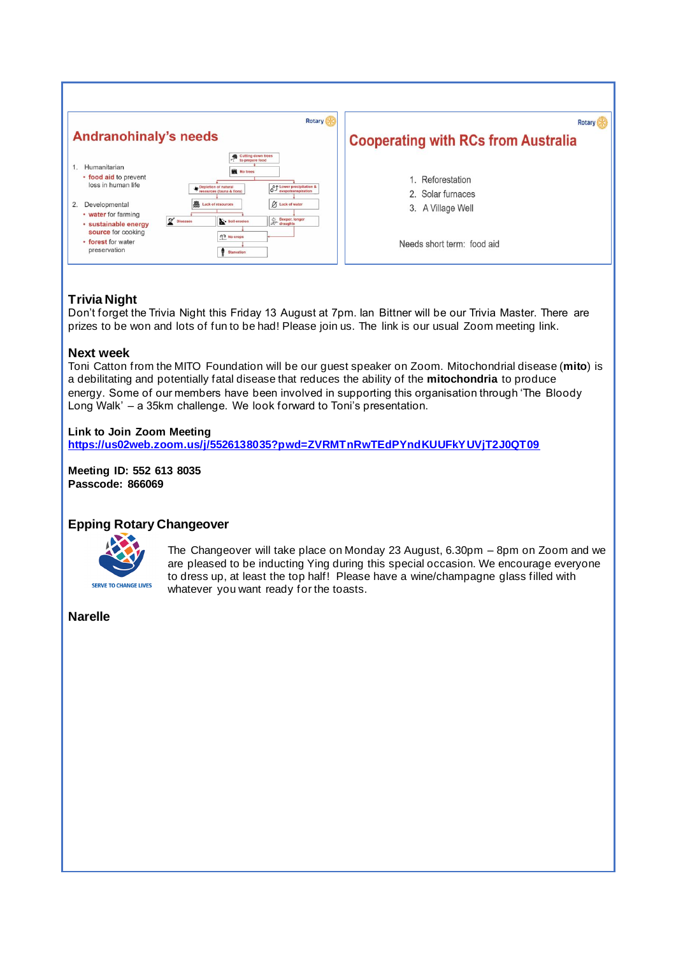

### **Trivia Night**

Don't forget the Trivia Night this Friday 13 August at 7pm. Ian Bittner will be our Trivia Master. There are prizes to be won and lots of fun to be had! Please join us. The link is our usual Zoom meeting link.

### **Next week**

Toni Catton from the MITO Foundation will be our guest speaker on Zoom. Mitochondrial disease (**mito**) is a debilitating and potentially fatal disease that reduces the ability of the **mitochondria** to produce energy. Some of our members have been involved in supporting this organisation through 'The Bloody Long Walk' – a 35km challenge. We look forward to Toni's presentation.

### **Link to Join Zoom Meeting**

**<https://us02web.zoom.us/j/5526138035?pwd=ZVRMTnRwTEdPYndKUUFkYUVjT2J0QT09>**

**Meeting ID: 552 613 8035 Passcode: 866069**

### **Epping Rotary Changeover**



The Changeover will take place on Monday 23 August, 6.30pm – 8pm on Zoom and we are pleased to be inducting Ying during this special occasion. We encourage everyone to dress up, at least the top half! Please have a wine/champagne glass filled with whatever you want ready for the toasts.

**Narelle**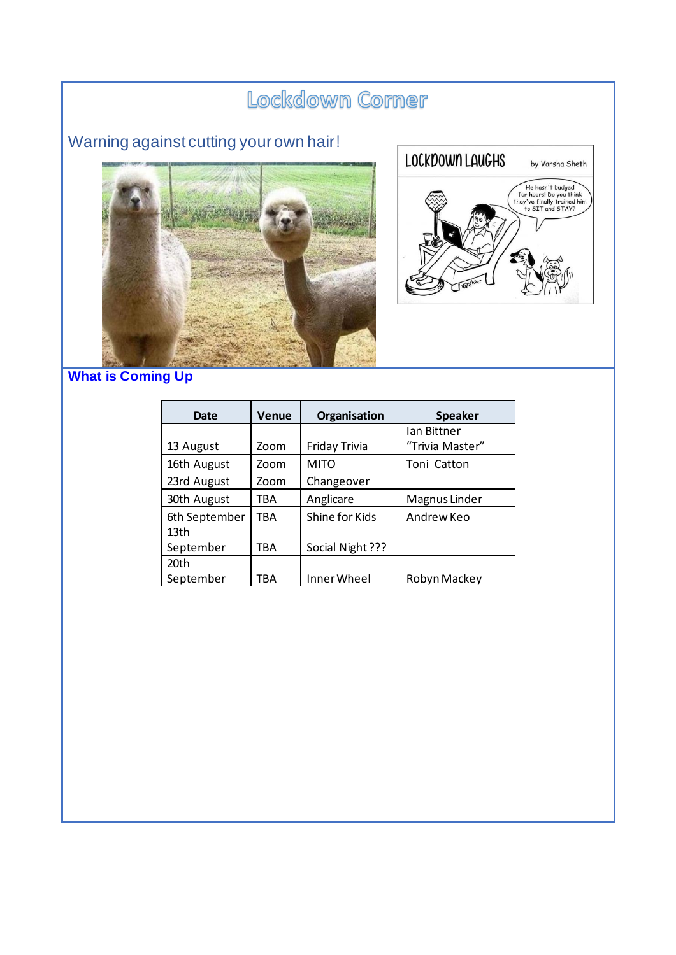## Lockdown Corner

### Warning against cutting your own hair!



LOCKDOWN LAUGHS by Varsha Sheth The hasn't budged<br>for hours! Do you think<br>they've finally trained him<br>to SIT and STAY?

### **What is Coming Up**

| Date          | Venue | Organisation     | <b>Speaker</b>     |
|---------------|-------|------------------|--------------------|
|               |       |                  | <b>Ian Bittner</b> |
| 13 August     | Zoom  | Friday Trivia    | "Trivia Master"    |
| 16th August   | Zoom  | <b>MITO</b>      | Toni Catton        |
| 23rd August   | Zoom  | Changeover       |                    |
| 30th August   | TBA   | Anglicare        | Magnus Linder      |
| 6th September | TBA   | Shine for Kids   | Andrew Keo         |
| 13th          |       |                  |                    |
| September     | TBA   | Social Night ??? |                    |
| 20th          |       |                  |                    |
| September     | TBA   | Inner Wheel      | Robyn Mackey       |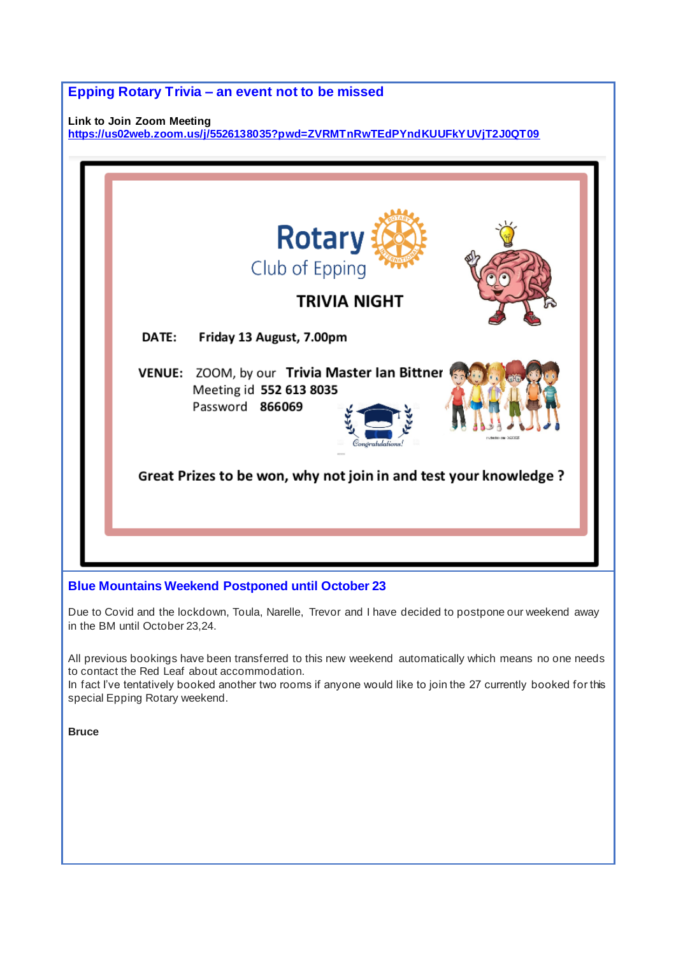| <b>Epping Rotary Trivia – an event not to be missed</b>                                                                                                                                                                                                                                                     |  |  |  |
|-------------------------------------------------------------------------------------------------------------------------------------------------------------------------------------------------------------------------------------------------------------------------------------------------------------|--|--|--|
| Link to Join Zoom Meeting<br>https://us02web.zoom.us/j/5526138035?pwd=ZVRMTnRwTEdPYndKUUFkYUVjT2J0QT09                                                                                                                                                                                                      |  |  |  |
|                                                                                                                                                                                                                                                                                                             |  |  |  |
|                                                                                                                                                                                                                                                                                                             |  |  |  |
|                                                                                                                                                                                                                                                                                                             |  |  |  |
| <b>Rotary</b>                                                                                                                                                                                                                                                                                               |  |  |  |
| Club of Epping                                                                                                                                                                                                                                                                                              |  |  |  |
| TRIVIA NIGHT                                                                                                                                                                                                                                                                                                |  |  |  |
|                                                                                                                                                                                                                                                                                                             |  |  |  |
| DATE:<br>Friday 13 August, 7.00pm                                                                                                                                                                                                                                                                           |  |  |  |
| VENUE: ZOOM, by our Trivia Master Ian Bittner<br>Meeting id 552 613 8035<br>Password 866069<br>Congratulations!                                                                                                                                                                                             |  |  |  |
| Great Prizes to be won, why not join in and test your knowledge ?                                                                                                                                                                                                                                           |  |  |  |
| <b>Blue Mountains Weekend Postponed until October 23</b>                                                                                                                                                                                                                                                    |  |  |  |
| Due to Covid and the lockdown, Toula, Narelle, Trevor and I have decided to postpone our weekend away<br>in the BM until October 23,24.                                                                                                                                                                     |  |  |  |
| All previous bookings have been transferred to this new weekend automatically which means no one needs<br>to contact the Red Leaf about accommodation.<br>In fact I've tentatively booked another two rooms if anyone would like to join the 27 currently booked for this<br>special Epping Rotary weekend. |  |  |  |
|                                                                                                                                                                                                                                                                                                             |  |  |  |
| <b>Bruce</b>                                                                                                                                                                                                                                                                                                |  |  |  |
|                                                                                                                                                                                                                                                                                                             |  |  |  |
|                                                                                                                                                                                                                                                                                                             |  |  |  |
|                                                                                                                                                                                                                                                                                                             |  |  |  |
|                                                                                                                                                                                                                                                                                                             |  |  |  |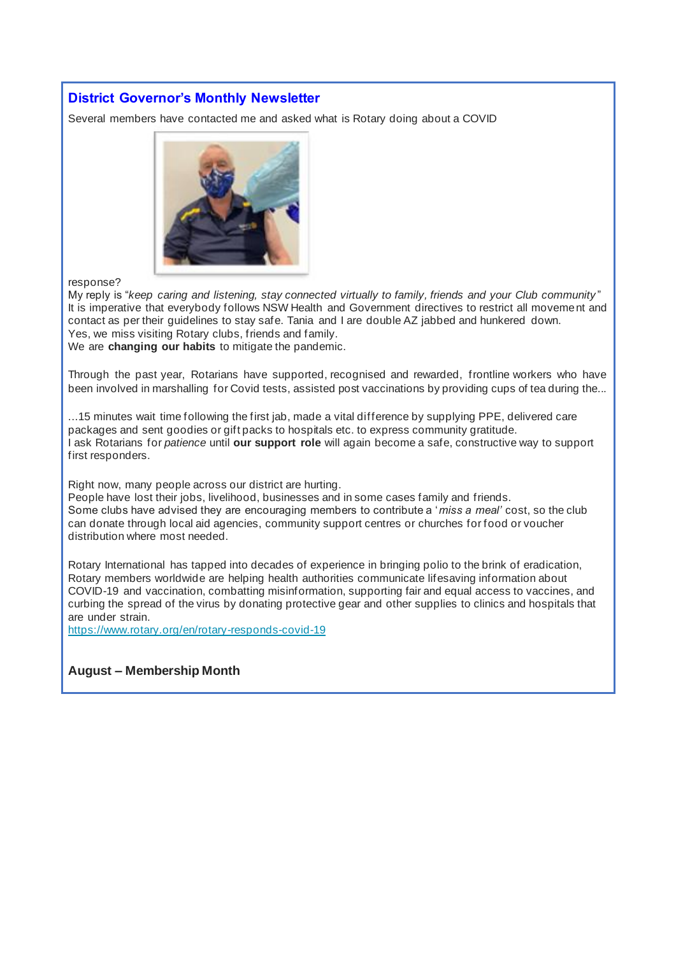### **District Governor's Monthly Newsletter**

Several members have contacted me and asked what is Rotary doing about a COVID



response?

My reply is "*keep caring and listening, stay connected virtually to family, friends and your Club community* " It is imperative that everybody follows NSW Health and Government directives to restrict all movement and contact as per their guidelines to stay safe. Tania and I are double AZ jabbed and hunkered down. Yes, we miss visiting Rotary clubs, friends and family. We are **changing our habits** to mitigate the pandemic.

Through the past year, Rotarians have supported, recognised and rewarded, frontline workers who have been involved in marshalling for Covid tests, assisted post vaccinations by providing cups of tea during the...

...15 minutes wait time following the first jab, made a vital difference by supplying PPE, delivered care packages and sent goodies or gift packs to hospitals etc. to express community gratitude. I ask Rotarians for *patience* until **our support role** will again become a safe, constructive way to support first responders.

Right now, many people across our district are hurting.

People have lost their jobs, livelihood, businesses and in some cases family and friends. Some clubs have advised they are encouraging members to contribute a '*miss a meal'* cost, so the club can donate through local aid agencies, community support centres or churches for food or voucher distribution where most needed.

Rotary International has tapped into decades of experience in bringing polio to the brink of eradication, Rotary members worldwide are helping health authorities communicate lifesaving information about COVID-19 and vaccination, combatting misinformation, supporting fair and equal access to vaccines, and curbing the spread of the virus by donating protective gear and other supplies to clinics and hospitals that are under strain.

<https://www.rotary.org/en/rotary-responds-covid-19>

### **August – Membership Month**